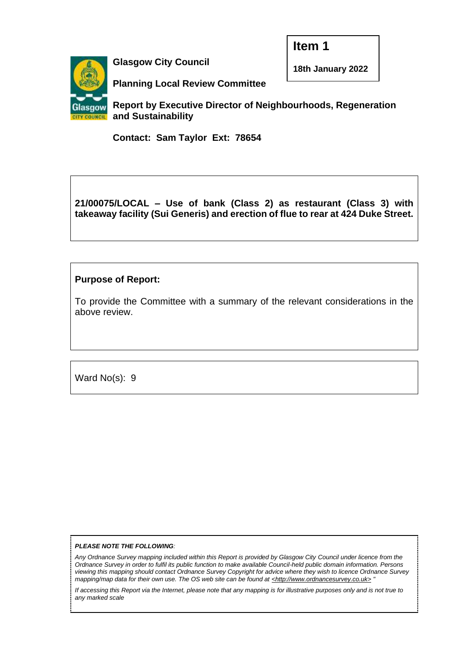**Item 1**



**Glasgow City Council**

**18th January 2022**

**Planning Local Review Committee** 

**Report by Executive Director of Neighbourhoods, Regeneration and Sustainability**

**Contact: Sam Taylor Ext: 78654**

# **21/00075/LOCAL – Use of bank (Class 2) as restaurant (Class 3) with takeaway facility (Sui Generis) and erection of flue to rear at 424 Duke Street.**

## **Purpose of Report:**

To provide the Committee with a summary of the relevant considerations in the above review.

Ward No(s): 9

#### *PLEASE NOTE THE FOLLOWING:*

*Any Ordnance Survey mapping included within this Report is provided by Glasgow City Council under licence from the Ordnance Survey in order to fulfil its public function to make available Council-held public domain information. Persons viewing this mapping should contact Ordnance Survey Copyright for advice where they wish to licence Ordnance Survey mapping/map data for their own use. The OS web site can be found at <http://www.ordnancesurvey.co.uk> "*

*If accessing this Report via the Internet, please note that any mapping is for illustrative purposes only and is not true to any marked scale*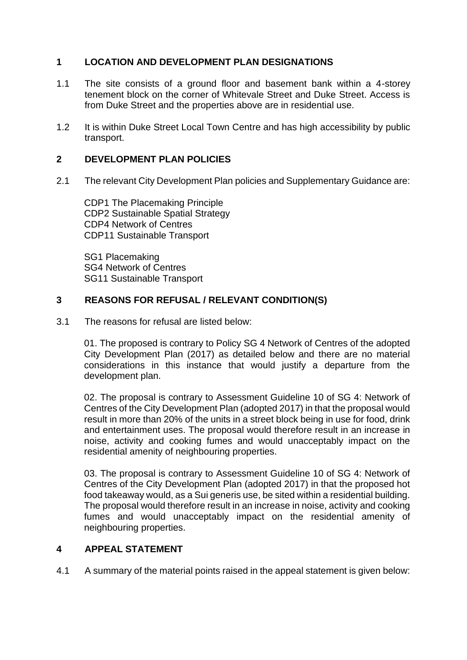# **1 LOCATION AND DEVELOPMENT PLAN DESIGNATIONS**

- 1.1 The site consists of a ground floor and basement bank within a 4-storey tenement block on the corner of Whitevale Street and Duke Street. Access is from Duke Street and the properties above are in residential use.
- 1.2 It is within Duke Street Local Town Centre and has high accessibility by public transport.

## **2 DEVELOPMENT PLAN POLICIES**

2.1 The relevant City Development Plan policies and Supplementary Guidance are:

CDP1 The Placemaking Principle CDP2 Sustainable Spatial Strategy CDP4 Network of Centres CDP11 Sustainable Transport

SG1 Placemaking SG4 Network of Centres SG11 Sustainable Transport

### **3 REASONS FOR REFUSAL / RELEVANT CONDITION(S)**

3.1 The reasons for refusal are listed below:

01. The proposed is contrary to Policy SG 4 Network of Centres of the adopted City Development Plan (2017) as detailed below and there are no material considerations in this instance that would justify a departure from the development plan.

02. The proposal is contrary to Assessment Guideline 10 of SG 4: Network of Centres of the City Development Plan (adopted 2017) in that the proposal would result in more than 20% of the units in a street block being in use for food, drink and entertainment uses. The proposal would therefore result in an increase in noise, activity and cooking fumes and would unacceptably impact on the residential amenity of neighbouring properties.

03. The proposal is contrary to Assessment Guideline 10 of SG 4: Network of Centres of the City Development Plan (adopted 2017) in that the proposed hot food takeaway would, as a Sui generis use, be sited within a residential building. The proposal would therefore result in an increase in noise, activity and cooking fumes and would unacceptably impact on the residential amenity of neighbouring properties.

### **4 APPEAL STATEMENT**

4.1 A summary of the material points raised in the appeal statement is given below: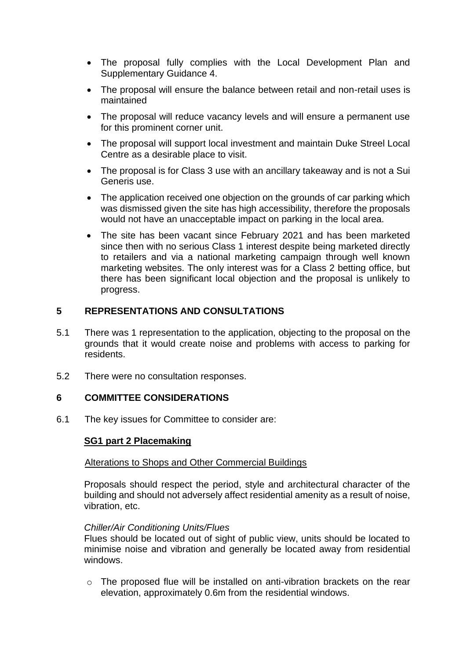- The proposal fully complies with the Local Development Plan and Supplementary Guidance 4.
- The proposal will ensure the balance between retail and non-retail uses is maintained
- The proposal will reduce vacancy levels and will ensure a permanent use for this prominent corner unit.
- The proposal will support local investment and maintain Duke Streel Local Centre as a desirable place to visit.
- The proposal is for Class 3 use with an ancillary takeaway and is not a Sui Generis use.
- The application received one objection on the grounds of car parking which was dismissed given the site has high accessibility, therefore the proposals would not have an unacceptable impact on parking in the local area.
- The site has been vacant since February 2021 and has been marketed since then with no serious Class 1 interest despite being marketed directly to retailers and via a national marketing campaign through well known marketing websites. The only interest was for a Class 2 betting office, but there has been significant local objection and the proposal is unlikely to progress.

## **5 REPRESENTATIONS AND CONSULTATIONS**

- 5.1 There was 1 representation to the application, objecting to the proposal on the grounds that it would create noise and problems with access to parking for residents.
- 5.2 There were no consultation responses.

### **6 COMMITTEE CONSIDERATIONS**

6.1 The key issues for Committee to consider are:

### **SG1 part 2 Placemaking**

#### Alterations to Shops and Other Commercial Buildings

Proposals should respect the period, style and architectural character of the building and should not adversely affect residential amenity as a result of noise, vibration, etc.

#### *Chiller/Air Conditioning Units/Flues*

Flues should be located out of sight of public view, units should be located to minimise noise and vibration and generally be located away from residential windows.

o The proposed flue will be installed on anti-vibration brackets on the rear elevation, approximately 0.6m from the residential windows.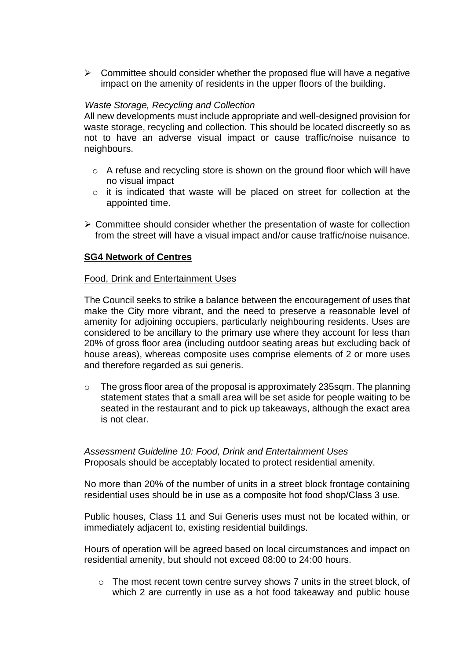$\triangleright$  Committee should consider whether the proposed flue will have a negative impact on the amenity of residents in the upper floors of the building.

### *Waste Storage, Recycling and Collection*

All new developments must include appropriate and well-designed provision for waste storage, recycling and collection. This should be located discreetly so as not to have an adverse visual impact or cause traffic/noise nuisance to neighbours.

- o A refuse and recycling store is shown on the ground floor which will have no visual impact
- o it is indicated that waste will be placed on street for collection at the appointed time.
- ➢ Committee should consider whether the presentation of waste for collection from the street will have a visual impact and/or cause traffic/noise nuisance.

### **SG4 Network of Centres**

### Food, Drink and Entertainment Uses

The Council seeks to strike a balance between the encouragement of uses that make the City more vibrant, and the need to preserve a reasonable level of amenity for adjoining occupiers, particularly neighbouring residents. Uses are considered to be ancillary to the primary use where they account for less than 20% of gross floor area (including outdoor seating areas but excluding back of house areas), whereas composite uses comprise elements of 2 or more uses and therefore regarded as sui generis.

 $\circ$  The gross floor area of the proposal is approximately 235 sqm. The planning statement states that a small area will be set aside for people waiting to be seated in the restaurant and to pick up takeaways, although the exact area is not clear.

*Assessment Guideline 10: Food, Drink and Entertainment Uses*  Proposals should be acceptably located to protect residential amenity.

No more than 20% of the number of units in a street block frontage containing residential uses should be in use as a composite hot food shop/Class 3 use.

Public houses, Class 11 and Sui Generis uses must not be located within, or immediately adjacent to, existing residential buildings.

Hours of operation will be agreed based on local circumstances and impact on residential amenity, but should not exceed 08:00 to 24:00 hours.

 $\circ$  The most recent town centre survey shows 7 units in the street block, of which 2 are currently in use as a hot food takeaway and public house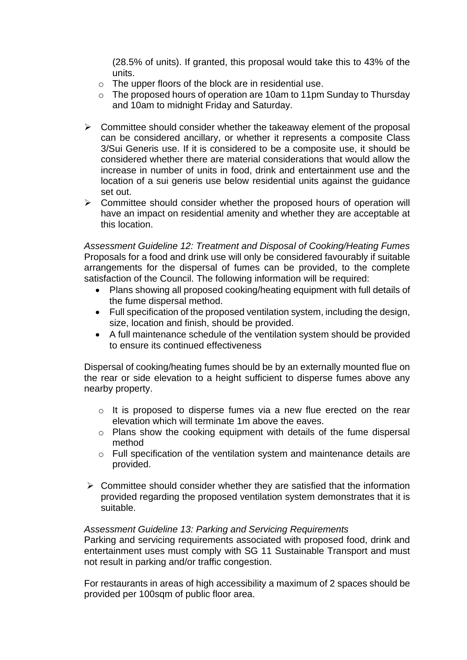(28.5% of units). If granted, this proposal would take this to 43% of the units.

- o The upper floors of the block are in residential use.
- o The proposed hours of operation are 10am to 11pm Sunday to Thursday and 10am to midnight Friday and Saturday.
- $\triangleright$  Committee should consider whether the takeaway element of the proposal can be considered ancillary, or whether it represents a composite Class 3/Sui Generis use. If it is considered to be a composite use, it should be considered whether there are material considerations that would allow the increase in number of units in food, drink and entertainment use and the location of a sui generis use below residential units against the guidance set out.
- ➢ Committee should consider whether the proposed hours of operation will have an impact on residential amenity and whether they are acceptable at this location.

*Assessment Guideline 12: Treatment and Disposal of Cooking/Heating Fumes*  Proposals for a food and drink use will only be considered favourably if suitable arrangements for the dispersal of fumes can be provided, to the complete satisfaction of the Council. The following information will be required:

- Plans showing all proposed cooking/heating equipment with full details of the fume dispersal method.
- Full specification of the proposed ventilation system, including the design, size, location and finish, should be provided.
- A full maintenance schedule of the ventilation system should be provided to ensure its continued effectiveness

Dispersal of cooking/heating fumes should be by an externally mounted flue on the rear or side elevation to a height sufficient to disperse fumes above any nearby property.

- o It is proposed to disperse fumes via a new flue erected on the rear elevation which will terminate 1m above the eaves.
- o Plans show the cooking equipment with details of the fume dispersal method
- o Full specification of the ventilation system and maintenance details are provided.
- $\triangleright$  Committee should consider whether they are satisfied that the information provided regarding the proposed ventilation system demonstrates that it is suitable.

### *Assessment Guideline 13: Parking and Servicing Requirements*

Parking and servicing requirements associated with proposed food, drink and entertainment uses must comply with SG 11 Sustainable Transport and must not result in parking and/or traffic congestion.

For restaurants in areas of high accessibility a maximum of 2 spaces should be provided per 100sqm of public floor area.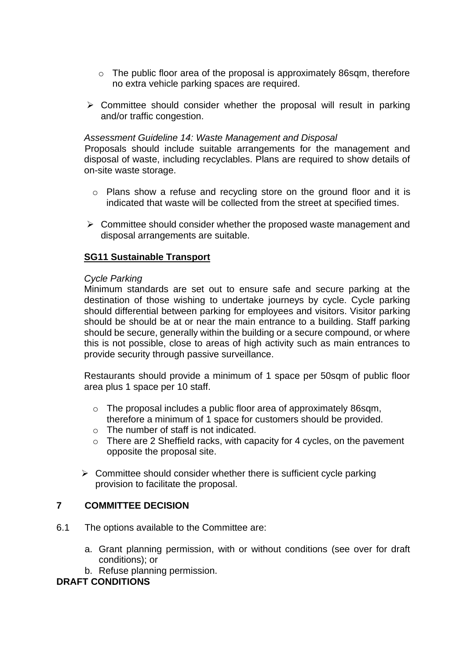- $\circ$  The public floor area of the proposal is approximately 86sqm, therefore no extra vehicle parking spaces are required.
- $\triangleright$  Committee should consider whether the proposal will result in parking and/or traffic congestion.

#### *Assessment Guideline 14: Waste Management and Disposal*

Proposals should include suitable arrangements for the management and disposal of waste, including recyclables. Plans are required to show details of on-site waste storage.

- o Plans show a refuse and recycling store on the ground floor and it is indicated that waste will be collected from the street at specified times.
- ➢ Committee should consider whether the proposed waste management and disposal arrangements are suitable.

### **SG11 Sustainable Transport**

#### *Cycle Parking*

Minimum standards are set out to ensure safe and secure parking at the destination of those wishing to undertake journeys by cycle. Cycle parking should differential between parking for employees and visitors. Visitor parking should be should be at or near the main entrance to a building. Staff parking should be secure, generally within the building or a secure compound, or where this is not possible, close to areas of high activity such as main entrances to provide security through passive surveillance.

Restaurants should provide a minimum of 1 space per 50sqm of public floor area plus 1 space per 10 staff.

- o The proposal includes a public floor area of approximately 86sqm, therefore a minimum of 1 space for customers should be provided.
- o The number of staff is not indicated.
- $\circ$  There are 2 Sheffield racks, with capacity for 4 cycles, on the pavement opposite the proposal site.
- $\triangleright$  Committee should consider whether there is sufficient cycle parking provision to facilitate the proposal.

### **7 COMMITTEE DECISION**

- 6.1 The options available to the Committee are:
	- a. Grant planning permission, with or without conditions (see over for draft conditions); or
	- b. Refuse planning permission.

### **DRAFT CONDITIONS**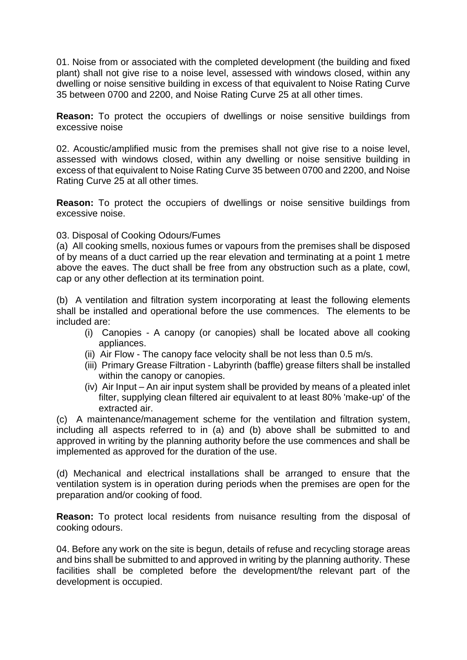01. Noise from or associated with the completed development (the building and fixed plant) shall not give rise to a noise level, assessed with windows closed, within any dwelling or noise sensitive building in excess of that equivalent to Noise Rating Curve 35 between 0700 and 2200, and Noise Rating Curve 25 at all other times.

**Reason:** To protect the occupiers of dwellings or noise sensitive buildings from excessive noise

02. Acoustic/amplified music from the premises shall not give rise to a noise level, assessed with windows closed, within any dwelling or noise sensitive building in excess of that equivalent to Noise Rating Curve 35 between 0700 and 2200, and Noise Rating Curve 25 at all other times.

**Reason:** To protect the occupiers of dwellings or noise sensitive buildings from excessive noise.

### 03. Disposal of Cooking Odours/Fumes

(a) All cooking smells, noxious fumes or vapours from the premises shall be disposed of by means of a duct carried up the rear elevation and terminating at a point 1 metre above the eaves. The duct shall be free from any obstruction such as a plate, cowl, cap or any other deflection at its termination point.

(b) A ventilation and filtration system incorporating at least the following elements shall be installed and operational before the use commences. The elements to be included are:

- (i) Canopies A canopy (or canopies) shall be located above all cooking appliances.
- (ii) Air Flow The canopy face velocity shall be not less than 0.5 m/s.
- (iii) Primary Grease Filtration Labyrinth (baffle) grease filters shall be installed within the canopy or canopies.
- (iv) Air Input An air input system shall be provided by means of a pleated inlet filter, supplying clean filtered air equivalent to at least 80% 'make-up' of the extracted air.

(c) A maintenance/management scheme for the ventilation and filtration system, including all aspects referred to in (a) and (b) above shall be submitted to and approved in writing by the planning authority before the use commences and shall be implemented as approved for the duration of the use.

(d) Mechanical and electrical installations shall be arranged to ensure that the ventilation system is in operation during periods when the premises are open for the preparation and/or cooking of food.

**Reason:** To protect local residents from nuisance resulting from the disposal of cooking odours.

04. Before any work on the site is begun, details of refuse and recycling storage areas and bins shall be submitted to and approved in writing by the planning authority. These facilities shall be completed before the development/the relevant part of the development is occupied.